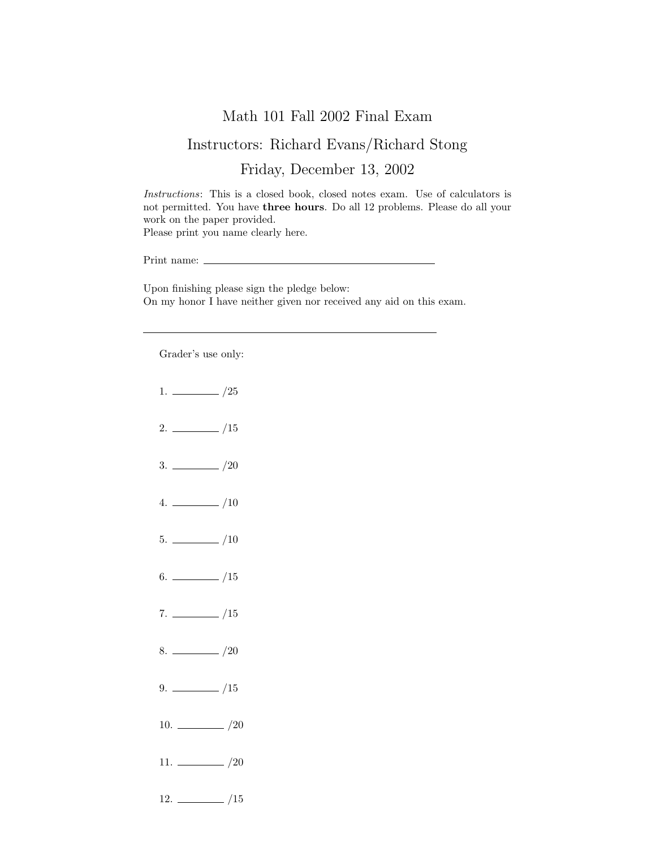## Math 101 Fall 2002 Final Exam

## Instructors: Richard Evans/Richard Stong

## Friday, December 13, 2002

Instructions: This is a closed book, closed notes exam. Use of calculators is not permitted. You have three hours. Do all 12 problems. Please do all your work on the paper provided. Please print you name clearly here.

Print name:  $\_\_$ 

Upon finishing please sign the pledge below: On my honor I have neither given nor received any aid on this exam.

Grader's use only:

 $1. \ \_ 25$  $2. \ \frac{\ }{\ }$  /15  $3. \ \_/20$  $4.$   $\frac{\phantom{1}}{\phantom{1}}$  /10  $5. \ \_$ /10  $6.$  /15  $7. \ \_/15$  $8. \ \_ \ \_ \ \_ \ \_ \ \_ \ \_$  $9. \ \_ \ \_ \ /15$ 10.  $\frac{10}{20}$ 11.  $\frac{1}{20}$  $12. \ \_$ /15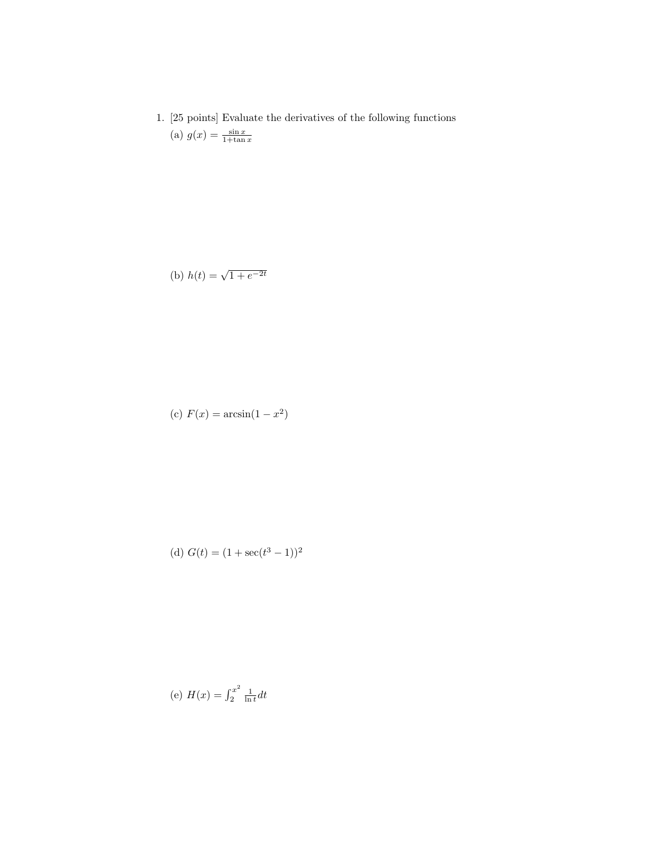1. [25 points] Evaluate the derivatives of the following functions (a)  $g(x) = \frac{\sin x}{1 + \tan x}$ 

(b) 
$$
h(t) = \sqrt{1 + e^{-2t}}
$$

(c) 
$$
F(x) = \arcsin(1 - x^2)
$$

(d) 
$$
G(t) = (1 + \sec(t^3 - 1))^2
$$

(e) 
$$
H(x) = \int_2^{x^2} \frac{1}{\ln t} dt
$$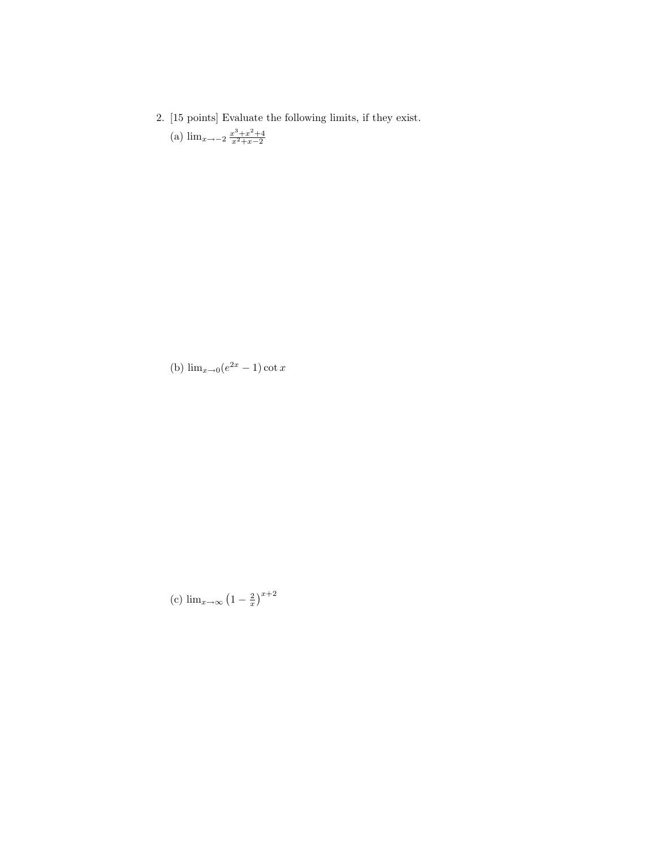2. [15 points] Evaluate the following limits, if they exist. (a)  $\lim_{x \to -2} \frac{x^3 + x^2 + 4}{x^2 + x - 2}$ 

(b)  $\lim_{x\to 0} (e^{2x} - 1) \cot x$ 

(c)  $\lim_{x \to \infty} (1 - \frac{2}{x})^{x+2}$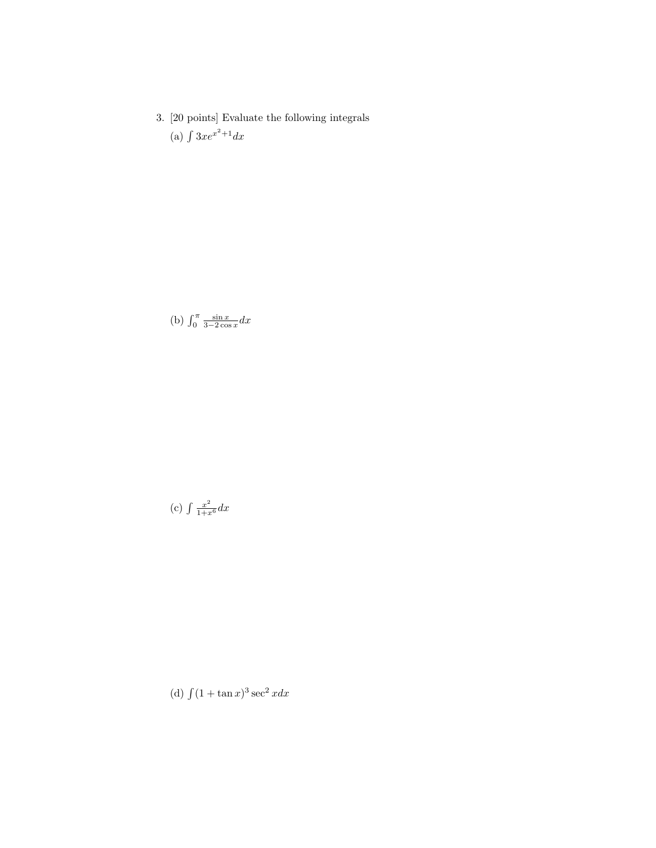3. [20 points] Evaluate the following integrals (a)  $\int 3xe^{x^2+1}dx$ 

(b)  $\int_0^\pi \frac{\sin x}{3-2\cos x} dx$ 

(c) 
$$
\int \frac{x^2}{1+x^6} dx
$$

(d)  $\int (1 + \tan x)^3 \sec^2 x dx$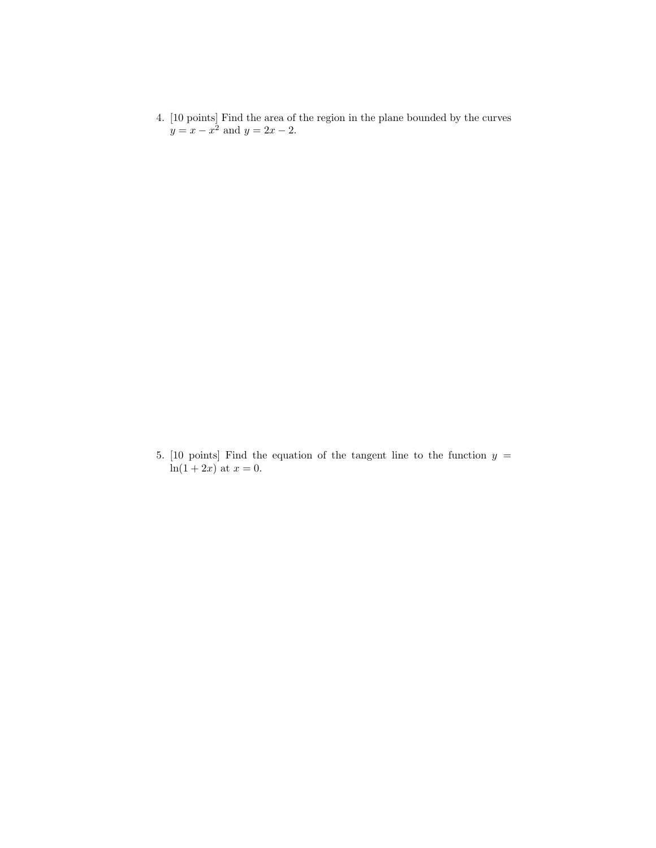4. [10 points] Find the area of the region in the plane bounded by the curves  $y = x - x^2$  and  $y = 2x - 2$ .

5. [10 points] Find the equation of the tangent line to the function  $y =$  $ln(1 + 2x)$  at  $x = 0$ .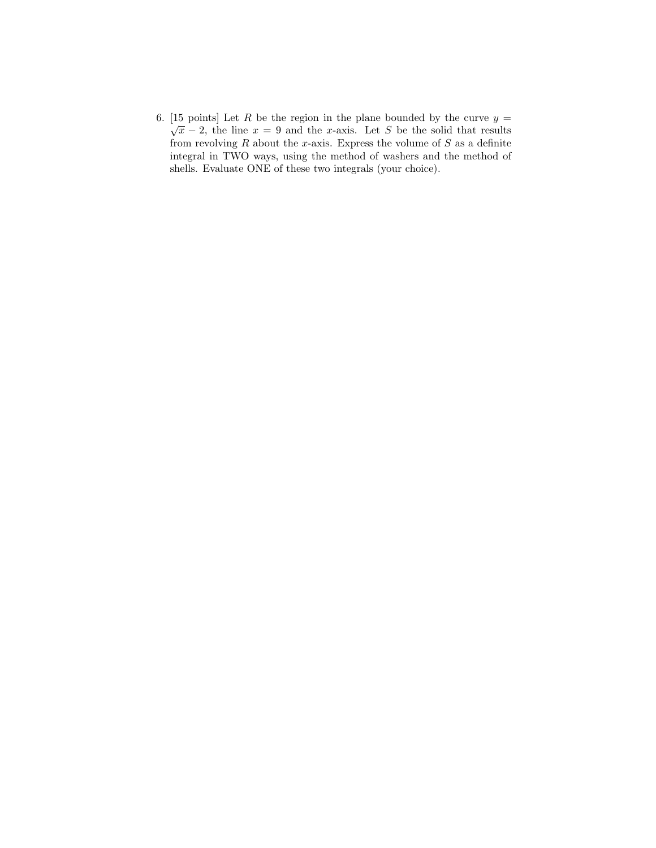6. [15 points] Let R be the region in the plane bounded by the curve  $y =$  $\sqrt{x}$  − 2, the line  $x = 9$  and the x-axis. Let S be the solid that results from revolving  $R$  about the x-axis. Express the volume of  $S$  as a definite integral in TWO ways, using the method of washers and the method of shells. Evaluate ONE of these two integrals (your choice).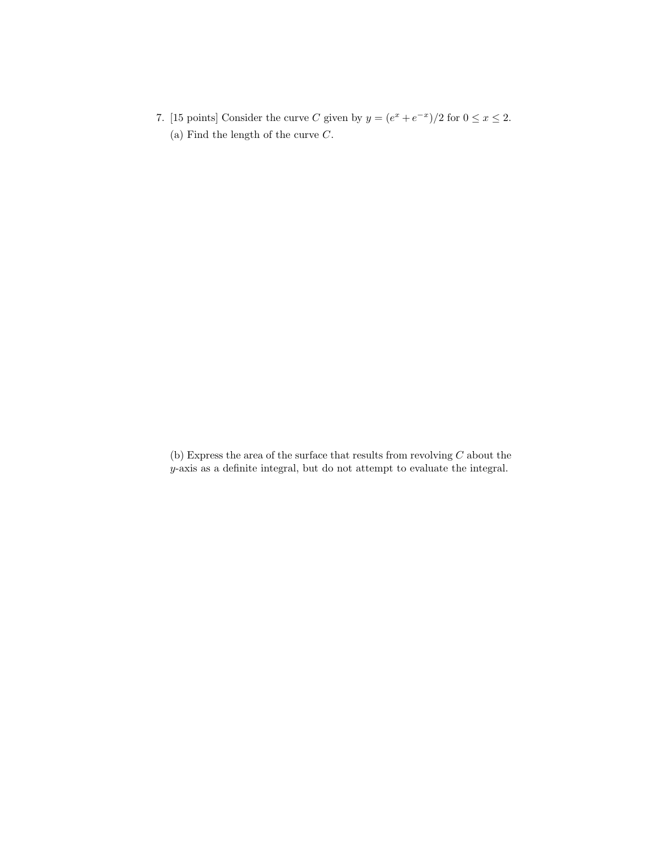7. [15 points] Consider the curve C given by  $y = (e^x + e^{-x})/2$  for  $0 \le x \le 2$ . (a) Find the length of the curve  $C$ .

(b) Express the area of the surface that results from revolving  $C$  about the y-axis as a definite integral, but do not attempt to evaluate the integral.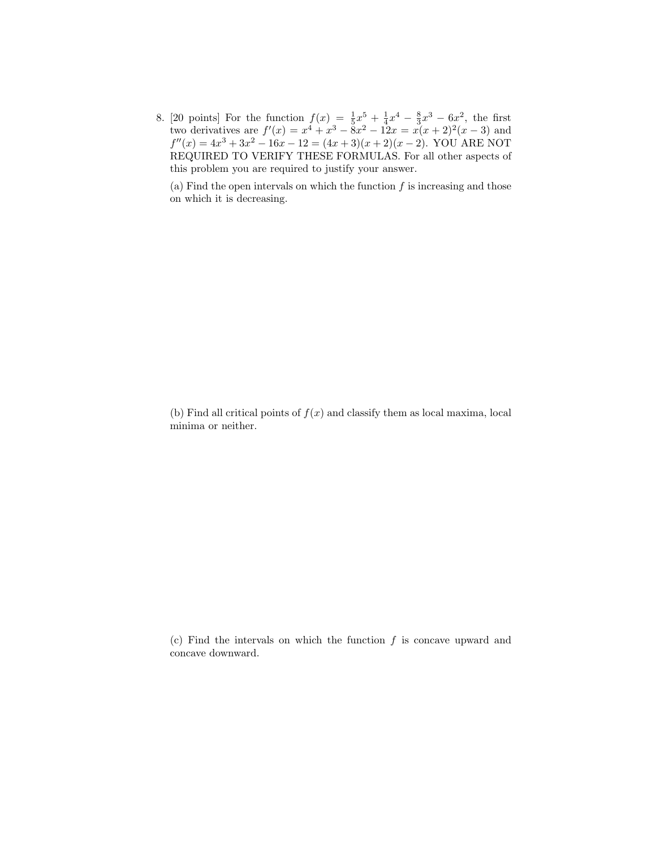8. [20 points] For the function  $f(x) = \frac{1}{5}x^5 + \frac{1}{4}x^4 - \frac{8}{3}x^3 - 6x^2$ , the first two derivatives are  $f'(x) = x^4 + x^3 - 8x^2 - 12x = x(x+2)^2(x-3)$  and  $f''(x) = 4x^3 + 3x^2 - 16x - 12 = (4x + 3)(x + 2)(x - 2)$ . YOU ARE NOT REQUIRED TO VERIFY THESE FORMULAS. For all other aspects of this problem you are required to justify your answer.

(a) Find the open intervals on which the function  $f$  is increasing and those on which it is decreasing.

(b) Find all critical points of  $f(x)$  and classify them as local maxima, local minima or neither.

(c) Find the intervals on which the function  $f$  is concave upward and concave downward.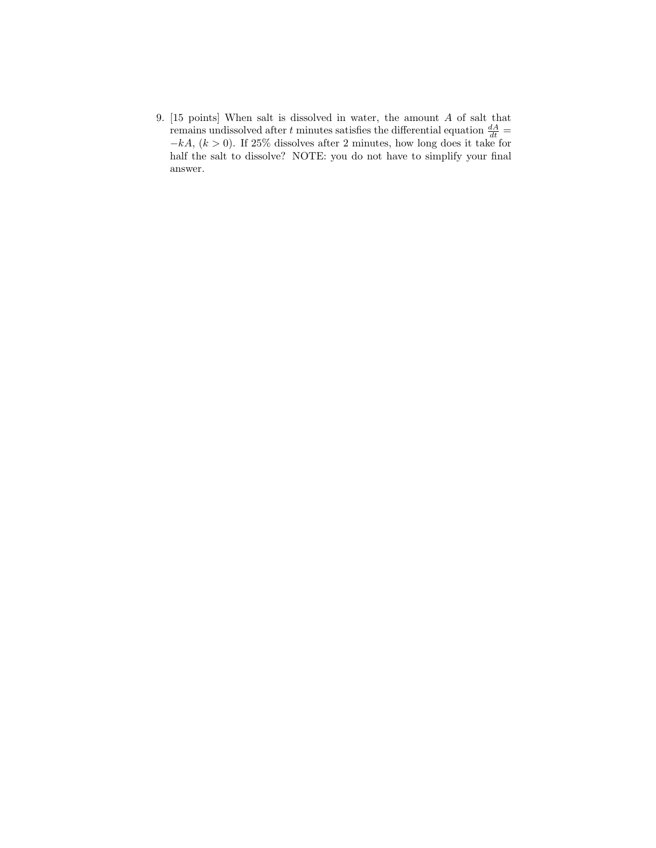9. [15 points] When salt is dissolved in water, the amount A of salt that remains undissolved after t minutes satisfies the differential equation  $\frac{dA}{dt}$  =  $-kA$ ,  $(k > 0)$ . If 25% dissolves after 2 minutes, how long does it take for half the salt to dissolve? NOTE: you do not have to simplify your final answer.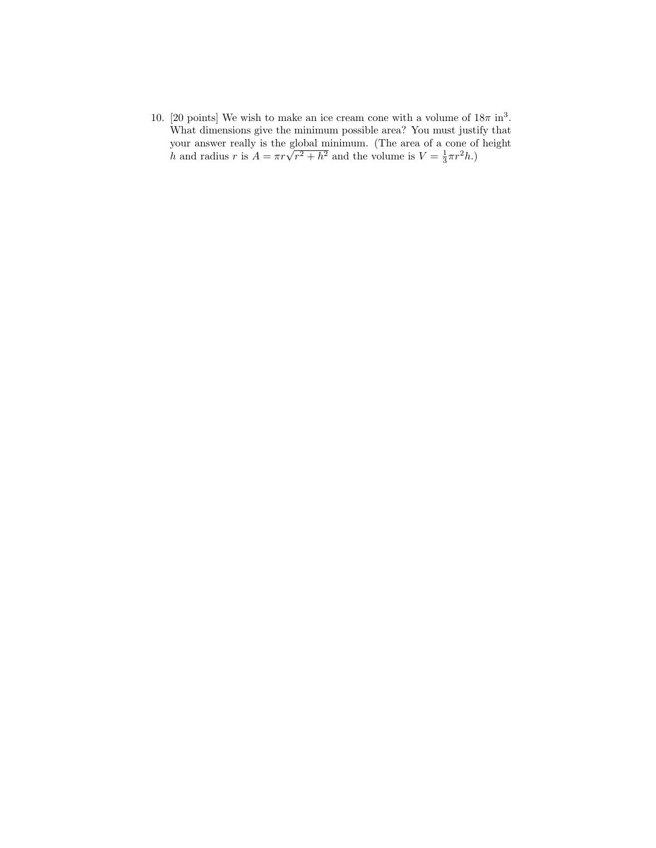10. [20 points] We wish to make an ice cream cone with a volume of  $18\pi$  in<sup>3</sup>. What dimensions give the minimum possible area? You must justify that your answer really is the global minimum. (The area of a cone of height  $h$  and radius  $r$  is  $A = \pi r \sqrt{r^2 + h^2}$  and the volume is  $V = \frac{1}{3} \pi r^2 h$ .)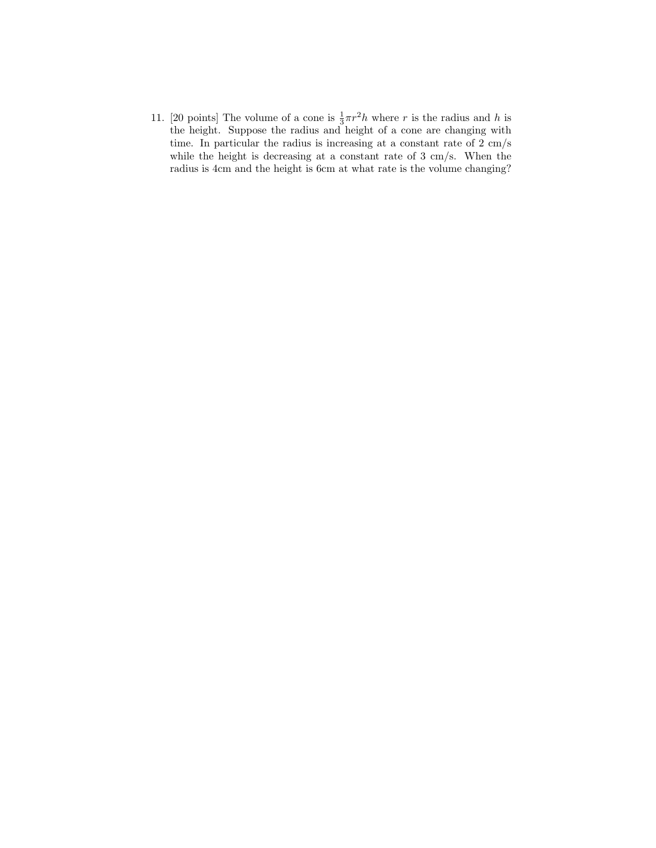11. [20 points] The volume of a cone is  $\frac{1}{3}\pi r^2 h$  where r is the radius and h is the height. Suppose the radius and height of a cone are changing with time. In particular the radius is increasing at a constant rate of 2 cm/s while the height is decreasing at a constant rate of 3 cm/s. When the radius is 4cm and the height is 6cm at what rate is the volume changing?